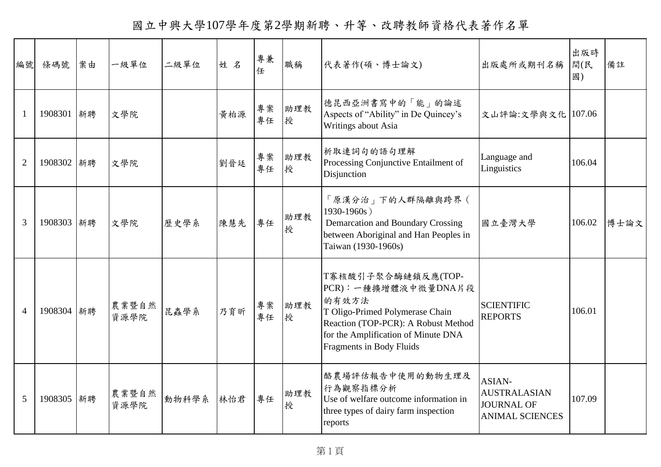國立中興大學107學年度第2學期新聘、升等、改聘教師資格代表著作名單

| 編號             | 條碼號        | 案由 | 一級單位          | 二級單位  | 姓名  | 專兼<br>任  | 職稱       | 代表著作(碩、博士論文)                                                                                                                                                                                            | 出版處所或期刊名稱                                                             | 出版時<br>間(民<br>國) | 備註   |
|----------------|------------|----|---------------|-------|-----|----------|----------|---------------------------------------------------------------------------------------------------------------------------------------------------------------------------------------------------------|-----------------------------------------------------------------------|------------------|------|
| $\mathbf{1}$   | 1908301 新聘 |    | 文學院           |       | 黄柏源 | 專案<br>專任 | 助理教<br>授 | 德昆西亞洲書寫中的「能」的論述<br>Aspects of "Ability" in De Quincey's<br>Writings about Asia                                                                                                                          | 文山評論:文學與文化   107.06                                                   |                  |      |
| $\overline{2}$ | 1908302 新聘 |    | 文學院           |       | 劉晉廷 | 專案<br>專任 | 助理教<br>授 | 析取連詞句的語句理解<br>Processing Conjunctive Entailment of<br>Disjunction                                                                                                                                       | Language and<br>Linguistics                                           | 106.04           |      |
| 3              | 1908303 新聘 |    | 文學院           | 歷史學系  | 陳慧先 | 專任       | 助理教<br>授 | 「原漢分治」下的人群隔離與跨界(<br>1930-1960s)<br>Demarcation and Boundary Crossing<br>between Aboriginal and Han Peoples in<br>Taiwan (1930-1960s)                                                                    | 國立臺灣大學                                                                | 106.02           | 博士論文 |
| $\overline{4}$ | 1908304 新聘 |    | 農業暨自然<br>資源學院 | 昆蟲學系  | 乃育昕 | 專案<br>專任 | 助理教<br>授 | T寡核酸引子聚合酶鏈鎖反應(TOP-<br>PCR): 一種擴增體液中微量DNA片段<br>的有效方法<br>T Oligo-Primed Polymerase Chain<br>Reaction (TOP-PCR): A Robust Method<br>for the Amplification of Minute DNA<br><b>Fragments in Body Fluids</b> | <b>SCIENTIFIC</b><br><b>REPORTS</b>                                   | 106.01           |      |
| 5              | 1908305 新聘 |    | 農業暨自然<br>資源學院 | 動物科學系 | 林怡君 | 專任       | 助理教<br>授 | 酪農場評估報告中使用的動物生理及<br>行為觀察指標分析<br>Use of welfare outcome information in<br>three types of dairy farm inspection<br>reports                                                                                | ASIAN-<br><b>AUSTRALASIAN</b><br>JOURNAL OF<br><b>ANIMAL SCIENCES</b> | 107.09           |      |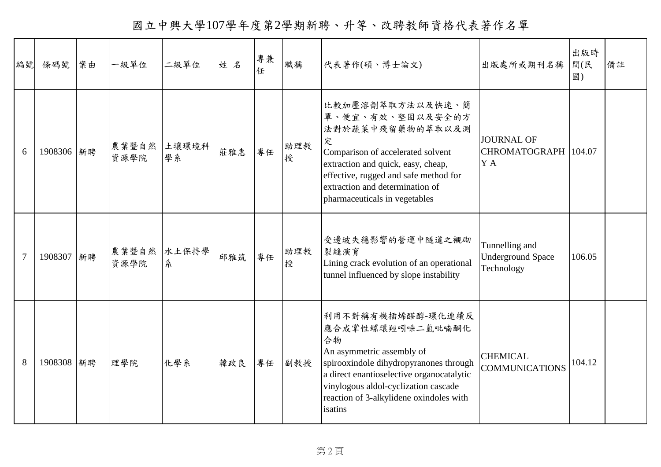國立中興大學107學年度第2學期新聘、升等、改聘教師資格代表著作名單

| 編號             | 條碼號        | 案由 | 一級單位                | 二級單位       | 姓名  | 專兼<br>任 | 職稱       | 代表著作(碩、博士論文)                                                                                                                                                                                                                                                  | 出版處所或期刊名稱                                                | 出版時<br>間(民<br>國) | 備註 |
|----------------|------------|----|---------------------|------------|-----|---------|----------|---------------------------------------------------------------------------------------------------------------------------------------------------------------------------------------------------------------------------------------------------------------|----------------------------------------------------------|------------------|----|
| 6              | 1908306 新聘 |    | 農業暨自然 土壤環境科<br>資源學院 | 學系         | 莊雅惠 | 專任      | 助理教<br>授 | 比較加壓溶劑萃取方法以及快速、簡<br>單、便宜、有效、堅固以及安全的方<br>法對於蔬菜中殘留藥物的萃取以及測<br>定<br>Comparison of accelerated solvent<br>extraction and quick, easy, cheap,<br>effective, rugged and safe method for<br>extraction and determination of<br>pharmaceuticals in vegetables         | <b>JOURNAL OF</b><br>CHROMATOGRAPH 104.07<br>Y A         |                  |    |
| $\overline{7}$ | 1908307 新聘 |    | 農業暨自然<br>資源學院       | 水土保持學<br>糸 | 邱雅筑 | 專任      | 助理教<br>授 | 受邊坡失穩影響的營運中隧道之襯砌<br>裂縫演育<br>Lining crack evolution of an operational<br>tunnel influenced by slope instability                                                                                                                                                | Tunnelling and<br><b>Underground Space</b><br>Technology | 106.05           |    |
| 8              | 1908308 新聘 |    | 理學院                 | 化學系        | 韓政良 | 專任      | 副教授      | 利用不對稱有機插烯醛醇-環化連續反<br>應合成掌性螺環羥吲哚二氫吡喃酮化<br>合物<br>An asymmetric assembly of<br>spirooxindole dihydropyranones through<br>a direct enantioselective organocatalytic<br>vinylogous aldol-cyclization cascade<br>reaction of 3-alkylidene oxindoles with<br>isatins | <b>CHEMICAL</b><br><b>COMMUNICATIONS</b>                 | 104.12           |    |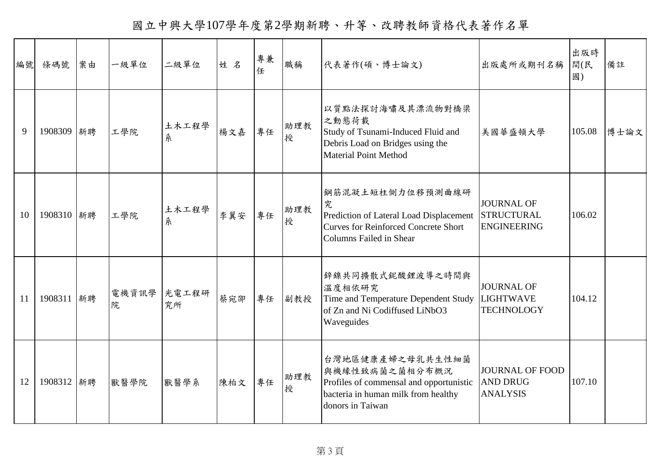國立中興大學107學年度第2學期新聘、升等、改聘教師資格代表著作名單

| 編號 | 條碼號        | 案由 | 一級單位       | 二級單位        | 姓名  | 專兼<br>任 | 職稱       | 代表著作(碩、博士論文)                                                                                                                                      | 出版處所或期刊名稱                                                    | 出版時<br>間(民<br>國) | 備註   |
|----|------------|----|------------|-------------|-----|---------|----------|---------------------------------------------------------------------------------------------------------------------------------------------------|--------------------------------------------------------------|------------------|------|
| 9  | 1908309 新聘 |    | 工學院        | 土木工程學<br>糸  | 楊文嘉 | 專任      | 助理教<br>授 | 以質點法探討海嘯及其漂流物對橋梁<br>之動態荷載<br>Study of Tsunami-Induced Fluid and<br>Debris Load on Bridges using the<br><b>Material Point Method</b>               | 美國華盛頓大學                                                      | 105.08           | 博士論文 |
| 10 | 1908310 新聘 |    | 工學院        | 土木工程學<br>糸  | 李翼安 | 專任      | 助理教<br>授 | 鋼筋混凝土短柱側力位移預測曲線研<br>究<br>Prediction of Lateral Load Displacement<br><b>Curves for Reinforced Concrete Short</b><br><b>Columns Failed in Shear</b> | <b>JOURNAL OF</b><br><b>STRUCTURAL</b><br><b>ENGINEERING</b> | 106.02           |      |
| 11 | 1908311 新聘 |    | 電機資訊學<br>院 | 光電工程研<br>究所 | 蔡宛卲 | 專任      | 副教授      | 鋅鎳共同擴散式鈮酸鋰波導之時間與<br>溫度相依研究<br>Time and Temperature Dependent Study<br>of Zn and Ni Codiffused LiNbO3<br>Waveguides                                | <b>JOURNAL OF</b><br><b>LIGHTWAVE</b><br><b>TECHNOLOGY</b>   | 104.12           |      |
| 12 | 1908312 新聘 |    | 獸醫學院       | 獸醫學系        | 陳柏文 | 專任      | 助理教<br>授 | 台灣地區健康產婦之母乳共生性細菌<br>與機緣性致病菌之菌相分布概況<br>Profiles of commensal and opportunistic<br>bacteria in human milk from healthy<br>donors in Taiwan          | <b>JOURNAL OF FOOD</b><br><b>AND DRUG</b><br><b>ANALYSIS</b> | 107.10           |      |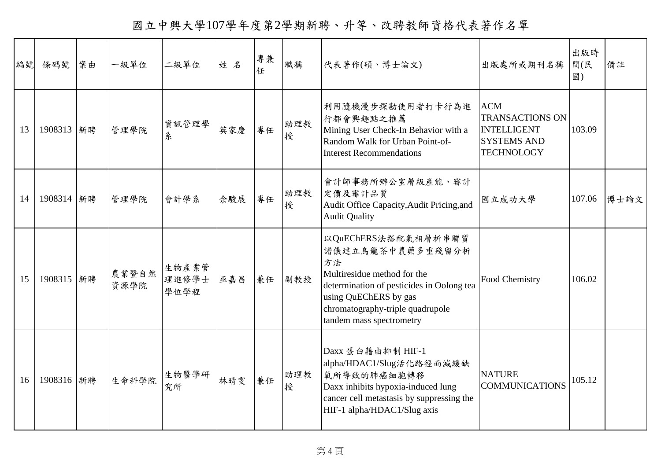國立中興大學107學年度第2學期新聘、升等、改聘教師資格代表著作名單

| 編號 | 條碼號        | 案由 | 一級單位          | 二級單位                   | 姓名  | 專兼 | 職稱       | 代表著作(碩、博士論文)                                                                                                                                                                                                       | 出版處所或期刊名稱                                                                                             | 出版時<br>間(民<br>國) | 備註   |
|----|------------|----|---------------|------------------------|-----|----|----------|--------------------------------------------------------------------------------------------------------------------------------------------------------------------------------------------------------------------|-------------------------------------------------------------------------------------------------------|------------------|------|
| 13 | 1908313 新聘 |    | 管理學院          | 資訊管理學<br>糸             | 英家慶 | 專任 | 助理教<br>授 | 利用隨機漫步探勘使用者打卡行為進<br>行都會興趣點之推薦<br>Mining User Check-In Behavior with a<br>Random Walk for Urban Point-of-<br><b>Interest Recommendations</b>                                                                        | <b>ACM</b><br><b>TRANSACTIONS ON</b><br><b>INTELLIGENT</b><br><b>SYSTEMS AND</b><br><b>TECHNOLOGY</b> | 103.09           |      |
| 14 | 1908314 新聘 |    | 管理學院          | 會計學系                   | 余駿展 | 專任 | 助理教<br>授 | 會計師事務所辦公室層級產能、審計<br>定價及審計品質<br>Audit Office Capacity, Audit Pricing, and<br><b>Audit Quality</b>                                                                                                                   | 國立成功大學                                                                                                | 107.06           | 博士論文 |
| 15 | 1908315 新聘 |    | 農業暨自然<br>資源學院 | 生物產業管<br>理進修學士<br>學位學程 | 巫嘉昌 | 兼任 | 副教授      | 以QuEChERS法搭配氣相層析串聯質<br>譜儀建立烏龍茶中農藥多重殘留分析<br>方法<br>Multiresidue method for the<br>determination of pesticides in Oolong tea<br>using QuEChERS by gas<br>chromatography-triple quadrupole<br>tandem mass spectrometry | Food Chemistry                                                                                        | 106.02           |      |
| 16 | 1908316 新聘 |    | 生命科學院         | 生物醫學研<br>究所            | 林晴雯 | 兼任 | 助理教<br>授 | Daxx 蛋白藉由抑制 HIF-1<br>alpha/HDAC1/Slug活化路徑而減緩缺<br>氧所導致的肺癌細胞轉移<br>Daxx inhibits hypoxia-induced lung<br>cancer cell metastasis by suppressing the<br>HIF-1 alpha/HDAC1/Slug axis                                     | <b>NATURE</b><br><b>COMMUNICATIONS</b>                                                                | 105.12           |      |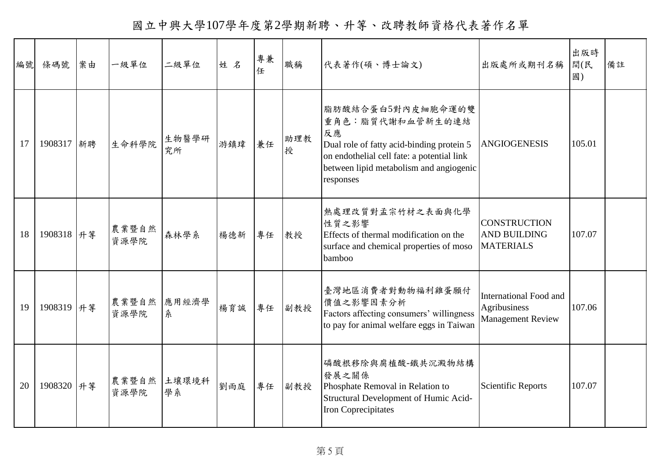國立中興大學107學年度第2學期新聘、升等、改聘教師資格代表著作名單

| 編號 | 條碼號         | 案由 | 一級單位          | 二級單位        | 姓名  | 專兼<br>任 | 職稱       | 代表著作(碩、博士論文)                                                                                                                                                                                   | 出版處所或期刊名稱                                                          | 出版時<br>間(民<br>國) | 備註 |
|----|-------------|----|---------------|-------------|-----|---------|----------|------------------------------------------------------------------------------------------------------------------------------------------------------------------------------------------------|--------------------------------------------------------------------|------------------|----|
| 17 | 1908317 新聘  |    | 生命科學院         | 生物醫學研<br>究所 | 游鎮瑋 | 兼任      | 助理教<br>授 | 脂肪酸結合蛋白5對內皮細胞命運的雙<br>重角色:脂質代謝和血管新生的連結<br>反應<br>Dual role of fatty acid-binding protein 5<br>on endothelial cell fate: a potential link<br>between lipid metabolism and angiogenic<br>responses | <b>ANGIOGENESIS</b>                                                | 105.01           |    |
| 18 | 1908318 升等  |    | 農業暨自然<br>資源學院 | 森林學系        | 楊德新 | 專任      | 教授       | 熱處理改質對孟宗竹材之表面與化學<br>性質之影響<br>Effects of thermal modification on the<br>surface and chemical properties of moso<br>bamboo                                                                       | <b>CONSTRUCTION</b><br><b>AND BUILDING</b><br><b>MATERIALS</b>     | 107.07           |    |
| 19 | 1908319  升等 |    | 農業暨自然<br>資源學院 | 應用經濟學<br>系  | 楊育誠 | 專任      | 副教授      | 臺灣地區消費者對動物福利雞蛋願付<br>價值之影響因素分析<br>Factors affecting consumers' willingness<br>to pay for animal welfare eggs in Taiwan                                                                          | International Food and<br>Agribusiness<br><b>Management Review</b> | 107.06           |    |
| 20 | 1908320 升等  |    | 農業暨自然<br>資源學院 | 土壤環境科<br>學系 | 劉雨庭 | 專任      | 副教授      | 磷酸根移除與腐植酸-鐵共沉澱物結構<br>發展之關係<br>Phosphate Removal in Relation to<br>Structural Development of Humic Acid-<br>Iron Coprecipitates                                                                 | <b>Scientific Reports</b>                                          | 107.07           |    |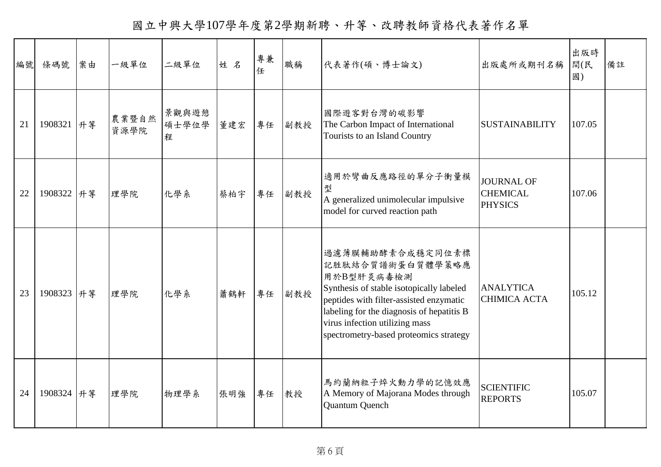國立中興大學107學年度第2學期新聘、升等、改聘教師資格代表著作名單

| 編號 | 條碼號         | 案由 | 一級單位          | 二級單位                | 姓名  | 專兼 | 職稱  | 代表著作(碩、博士論文)                                                                                                                                                                                                                                                       | 出版處所或期刊名稱                                              | 出版時<br>間(民<br>國) | 備註 |
|----|-------------|----|---------------|---------------------|-----|----|-----|--------------------------------------------------------------------------------------------------------------------------------------------------------------------------------------------------------------------------------------------------------------------|--------------------------------------------------------|------------------|----|
| 21 | 1908321 升等  |    | 農業暨自然<br>資源學院 | 景觀與遊憩<br>碩士學位學<br>程 | 董建宏 | 專任 | 副教授 | 國際遊客對台灣的碳影響<br>The Carbon Impact of International<br>Tourists to an Island Country                                                                                                                                                                                 | <b>SUSTAINABILITY</b>                                  | 107.05           |    |
| 22 | 1908322  升等 |    | 理學院           | 化學系                 | 蔡柏宇 | 專任 | 副教授 | 適用於彎曲反應路徑的單分子衝量模<br>型<br>A generalized unimolecular impulsive<br>model for curved reaction path                                                                                                                                                                    | <b>JOURNAL OF</b><br><b>CHEMICAL</b><br><b>PHYSICS</b> | 107.06           |    |
| 23 | 1908323 升等  |    | 理學院           | 化學系                 | 蕭鶴軒 | 專任 | 副教授 | 過濾薄膜輔助酵素合成穩定同位素標<br>記胜肽結合質譜術蛋白質體學策略應<br>用於B型肝炎病毒檢測<br>Synthesis of stable isotopically labeled<br>peptides with filter-assisted enzymatic<br>labeling for the diagnosis of hepatitis B<br>virus infection utilizing mass<br>spectrometry-based proteomics strategy | <b>ANALYTICA</b><br><b>CHIMICA ACTA</b>                | 105.12           |    |
| 24 | 1908324 升等  |    | 理學院           | 物理學系                | 張明強 | 專任 | 教授  | 馬約蘭納粒子焠火動力學的記憶效應<br>A Memory of Majorana Modes through<br>Quantum Quench                                                                                                                                                                                           | <b>SCIENTIFIC</b><br><b>REPORTS</b>                    | 105.07           |    |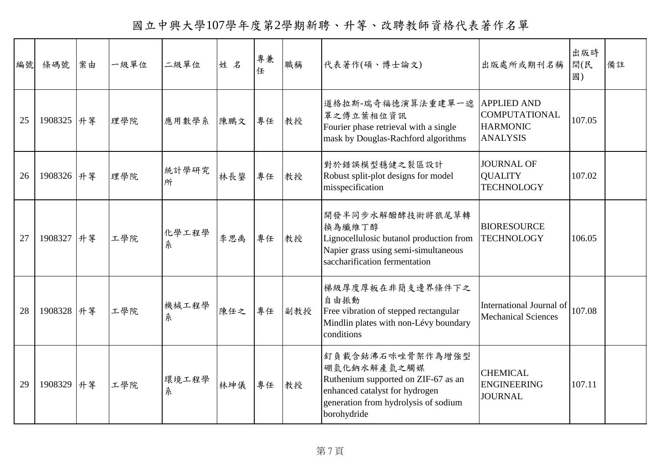國立中興大學107學年度第2學期新聘、升等、改聘教師資格代表著作名單

| 編號 | 條碼號         | 案由 | 一級單位 | 二級單位       | 姓名  | 專兼 | 職稱  | 代表著作(碩、博士論文)                                                                                                                                                    | 出版處所或期刊名稱                                                                        | 出版時<br>間(民<br>國) | 備註 |
|----|-------------|----|------|------------|-----|----|-----|-----------------------------------------------------------------------------------------------------------------------------------------------------------------|----------------------------------------------------------------------------------|------------------|----|
| 25 | 1908325 升等  |    | 理學院  | 應用數學系      | 陳鵬文 | 專任 | 教授  | 道格拉斯-瑞奇福德演算法重建單一遮<br>罩之傅立葉相位資訊<br>Fourier phase retrieval with a single<br>mask by Douglas-Rachford algorithms                                                  | <b>APPLIED AND</b><br><b>COMPUTATIONAL</b><br><b>HARMONIC</b><br><b>ANALYSIS</b> | 107.05           |    |
| 26 | 1908326 升等  |    | 理學院  | 統計學研究<br>所 | 林長鋆 | 專任 | 教授  | 對於錯誤模型穩健之裂區設計<br>Robust split-plot designs for model<br>misspecification                                                                                        | <b>JOURNAL OF</b><br><b>QUALITY</b><br><b>TECHNOLOGY</b>                         | 107.02           |    |
| 27 | 1908327  升等 |    | 工學院  | 化學工程學<br>糸 | 李思禹 | 專任 | 教授  | 開發半同步水解醱酵技術將狼尾草轉<br>換為纖維丁醇<br>Lignocellulosic butanol production from<br>Napier grass using semi-simultaneous<br>saccharification fermentation                  | <b>BIORESOURCE</b><br><b>TECHNOLOGY</b>                                          | 106.05           |    |
| 28 | 1908328 升等  |    | 工學院  | 機械工程學<br>糸 | 陳任之 | 專任 | 副教授 | 梯級厚度厚板在非簡支邊界條件下之<br>自由振動<br>Free vibration of stepped rectangular<br>Mindlin plates with non-Lévy boundary<br>conditions                                        | International Journal of<br><b>Mechanical Sciences</b>                           | 107.08           |    |
| 29 | 1908329 升等  |    | 工學院  | 環境工程學<br>糸 | 林坤儀 | 專任 | 教授  | 釘負載含鈷沸石咪唑骨架作為增強型<br>硼氫化鈉水解產氫之觸媒<br>Ruthenium supported on ZIF-67 as an<br>enhanced catalyst for hydrogen<br>generation from hydrolysis of sodium<br>borohydride | <b>CHEMICAL</b><br><b>ENGINEERING</b><br><b>JOURNAL</b>                          | 107.11           |    |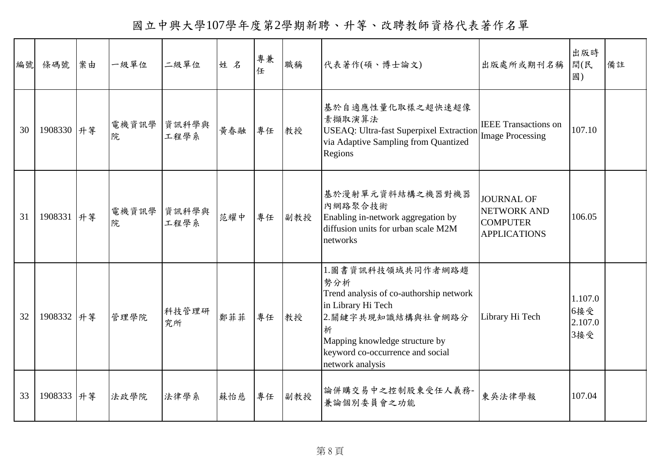國立中興大學107學年度第2學期新聘、升等、改聘教師資格代表著作名單

| 編號 | 條碼號        | 案由 | 一級單位       | 二級單位          | 姓名  | 專兼<br>任 | 職稱  | 代表著作(碩、博士論文)                                                                                                                                                                                                  | 出版處所或期刊名稱                                                                  | 出版時<br>間(民<br>國)                 | 備註 |
|----|------------|----|------------|---------------|-----|---------|-----|---------------------------------------------------------------------------------------------------------------------------------------------------------------------------------------------------------------|----------------------------------------------------------------------------|----------------------------------|----|
| 30 | 1908330 升等 |    | 電機資訊學<br>院 | 資訊科學與<br>工程學系 | 黄春融 | 專任      | 教授  | 基於自適應性量化取樣之超快速超像<br>素擷取演算法<br><b>USEAQ: Ultra-fast Superpixel Extraction</b><br>via Adaptive Sampling from Quantized<br>Regions                                                                               | <b>IEEE</b> Transactions on<br><b>Image Processing</b>                     | 107.10                           |    |
| 31 | 1908331 升等 |    | 電機資訊學<br>院 | 資訊科學與<br>工程學系 | 范耀中 | 專任      | 副教授 | 基於漫射單元資料結構之機器對機器<br>內網路聚合技術<br>Enabling in-network aggregation by<br>diffusion units for urban scale M2M<br>networks                                                                                          | <b>JOURNAL OF</b><br>NETWORK AND<br><b>COMPUTER</b><br><b>APPLICATIONS</b> | 106.05                           |    |
| 32 | 1908332 升等 |    | 管理學院       | 科技管理研<br>究所   | 鄭菲菲 | 專任      | 教授  | 1.圖書資訊科技領域共同作者網路趨<br>勢分析<br>Trend analysis of co-authorship network<br>in Library Hi Tech<br>2.關鍵字共現知識結構與社會網路分<br>析<br>Mapping knowledge structure by<br>keyword co-occurrence and social<br>network analysis | Library Hi Tech                                                            | 1.107.0<br>6接受<br>2.107.0<br>3接受 |    |
| 33 | 1908333 升等 |    | 法政學院       | 法律學系          | 蘇怡慈 | 專任      | 副教授 | 論併購交易中之控制股東受任人義務-<br>兼論個別委員會之功能                                                                                                                                                                               | 東吳法律學報                                                                     | 107.04                           |    |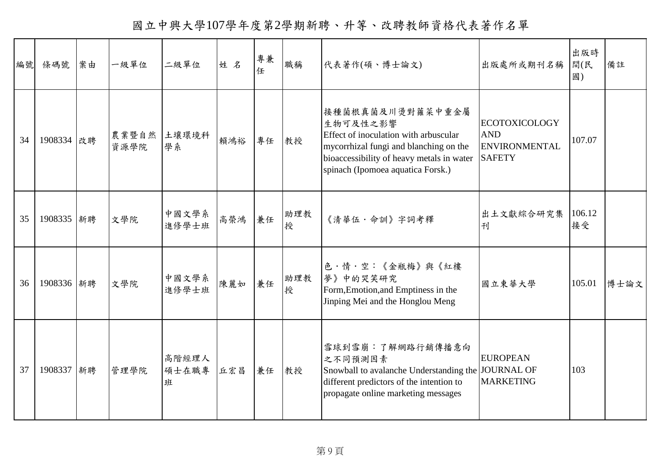國立中興大學107學年度第2學期新聘、升等、改聘教師資格代表著作名單

| 編號 | 條碼號        | 案由 | 一級單位          | 二級單位                | 姓名  | 專兼<br>任 | 職稱       | 代表著作(碩、博士論文)                                                                                                                                                                                      | 出版處所或期刊名稱                                                                   | 出版時<br>間(民<br>國) | 備註   |
|----|------------|----|---------------|---------------------|-----|---------|----------|---------------------------------------------------------------------------------------------------------------------------------------------------------------------------------------------------|-----------------------------------------------------------------------------|------------------|------|
| 34 | 1908334 改聘 |    | 農業暨自然<br>資源學院 | 土壤環境科<br>學系         | 賴鴻裕 | 專任      | 教授       | 接種菌根真菌及川燙對蕹菜中重金屬<br>生物可及性之影響<br>Effect of inoculation with arbuscular<br>mycorrhizal fungi and blanching on the<br>bioaccessibility of heavy metals in water<br>spinach (Ipomoea aquatica Forsk.) | <b>ECOTOXICOLOGY</b><br><b>AND</b><br><b>ENVIRONMENTAL</b><br><b>SAFETY</b> | 107.07           |      |
| 35 | 1908335 新聘 |    | 文學院           | 中國文學系<br>進修學士班      | 高榮鴻 | 兼任      | 助理教<br>授 | 《清華伍·命訓》字詞考釋                                                                                                                                                                                      | 出土文獻綜合研究集<br>刊                                                              | 106.12<br>接受     |      |
| 36 | 1908336 新聘 |    | 文學院           | 中國文學系<br>進修學士班      | 陳麗如 | 兼任      | 助理教<br>授 | 色·情·空:《金瓶梅》與《紅樓<br>夢》中的哭笑研究<br>Form, Emotion, and Emptiness in the<br>Jinping Mei and the Honglou Meng                                                                                            | 國立東華大學                                                                      | 105.01           | 博士論文 |
| 37 | 1908337 新聘 |    | 管理學院          | 高階經理人<br>碩士在職專<br>班 | 丘宏昌 | 兼任      | 教授       | 雪球到雪崩:了解網路行銷傳播意向<br>之不同預測因素<br>Snowball to avalanche Understanding the JOURNAL OF<br>different predictors of the intention to<br>propagate online marketing messages                              | <b>EUROPEAN</b><br><b>MARKETING</b>                                         | 103              |      |